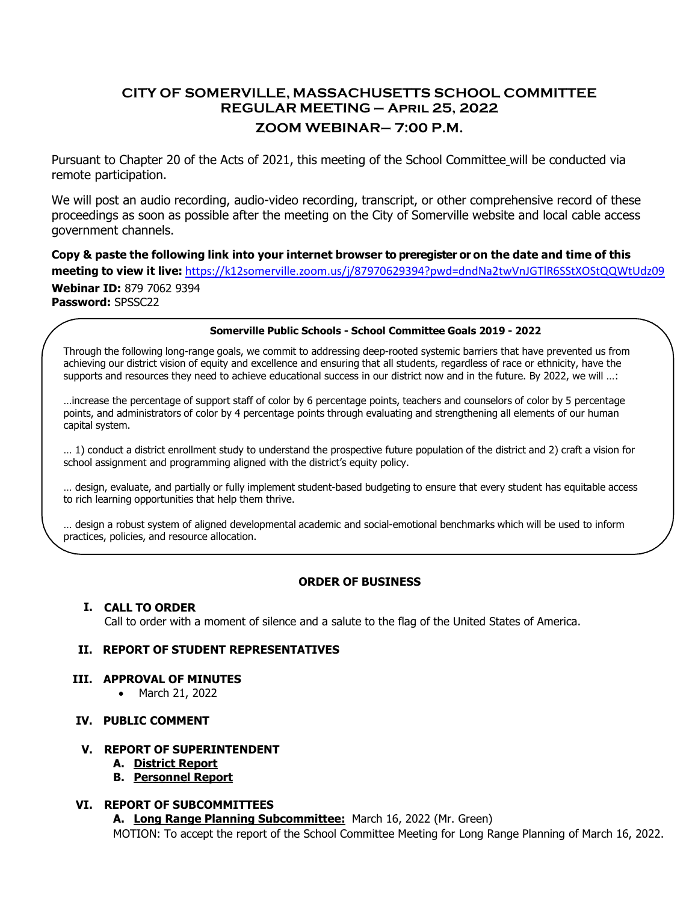# **CITY OF SOMERVILLE, MASSACHUSETTS SCHOOL COMMITTEE REGULAR MEETING – April 25, 2022 ZOOM WEBINAR– 7:00 P.M.**

Pursuant to Chapter 20 of the Acts of 2021, this meeting of the School Committee will be conducted via remote participation.

We will post an audio recording, audio-video recording, transcript, or other comprehensive record of these proceedings as soon as possible after the meeting on the City of Somerville website and local cable access government channels.

Copy & paste the following link into your internet browser to preregister or on the date and time of this **meeting to view it live:** <https://k12somerville.zoom.us/j/87970629394?pwd=dndNa2twVnJGTlR6SStXOStQQWtUdz09> **Webinar ID:** 879 7062 9394 **Password:** SPSSC22

#### **Somerville Public Schools - School Committee Goals 2019 - 2022**

Through the following long-range goals, we commit to addressing deep-rooted systemic barriers that have prevented us from achieving our district vision of equity and excellence and ensuring that all students, regardless of race or ethnicity, have the supports and resources they need to achieve educational success in our district now and in the future. By 2022, we will …:

…increase the percentage of support staff of color by 6 percentage points, teachers and counselors of color by 5 percentage points, and administrators of color by 4 percentage points through evaluating and strengthening all elements of our human capital system.

… 1) conduct a district enrollment study to understand the prospective future population of the district and 2) craft a vision for school assignment and programming aligned with the district's equity policy.

… design, evaluate, and partially or fully implement student-based budgeting to ensure that every student has equitable access to rich learning opportunities that help them thrive.

… design a robust system of aligned developmental academic and social-emotional benchmarks which will be used to inform practices, policies, and resource allocation.

### **ORDER OF BUSINESS**

#### **I. CALL TO ORDER**

Call to order with a moment of silence and a salute to the flag of the United States of America.

#### **II. REPORT OF STUDENT REPRESENTATIVES**

#### **III. APPROVAL OF MINUTES**

• March 21, 2022

### **IV. PUBLIC COMMENT**

#### **V. REPORT OF SUPERINTENDENT**

- **A. District Report**
- **B. Personnel Report**

#### **VI. REPORT OF SUBCOMMITTEES**

**A. Long Range Planning Subcommittee:** March 16, 2022 (Mr. Green) MOTION: To accept the report of the School Committee Meeting for Long Range Planning of March 16, 2022.